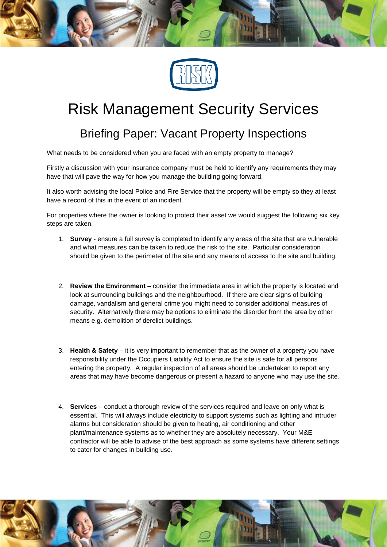

## Risk Management Security Services

## Briefing Paper: Vacant Property Inspections

What needs to be considered when you are faced with an empty property to manage?

Firstly a discussion with your insurance company must be held to identify any requirements they may have that will pave the way for how you manage the building going forward.

It also worth advising the local Police and Fire Service that the property will be empty so they at least have a record of this in the event of an incident.

For properties where the owner is looking to protect their asset we would suggest the following six key steps are taken.

- 1. **Survey** ensure a full survey is completed to identify any areas of the site that are vulnerable and what measures can be taken to reduce the risk to the site. Particular consideration should be given to the perimeter of the site and any means of access to the site and building.
- 2. **Review the Environment** consider the immediate area in which the property is located and look at surrounding buildings and the neighbourhood. If there are clear signs of building damage, vandalism and general crime you might need to consider additional measures of security. Alternatively there may be options to eliminate the disorder from the area by other means e.g. demolition of derelict buildings.
- 3. **Health & Safety** it is very important to remember that as the owner of a property you have responsibility under the Occupiers Liability Act to ensure the site is safe for all persons entering the property. A regular inspection of all areas should be undertaken to report any areas that may have become dangerous or present a hazard to anyone who may use the site.
- 4. **Services**  conduct a thorough review of the services required and leave on only what is essential. This will always include electricity to support systems such as lighting and intruder alarms but consideration should be given to heating, air conditioning and other plant/maintenance systems as to whether they are absolutely necessary. Your M&E contractor will be able to advise of the best approach as some systems have different settings to cater for changes in building use.